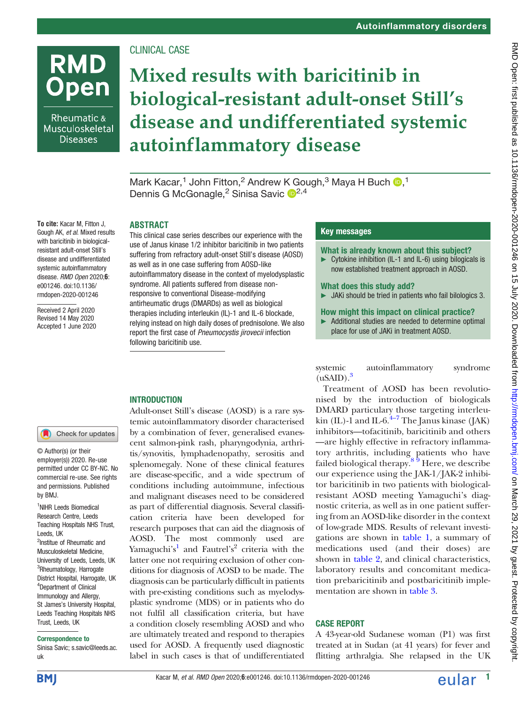# CLINICAL CASE

# Mixed results with baricitinib in biological-resistant adult-onset Still's disease and undifferentiated systemic autoinflammatory disease

Mark Kacar,<sup>1</sup> John Fitton,<sup>2</sup> Andrew K Gough,<sup>3</sup> Maya H Buch D,<sup>1</sup> Dennis G McGonagle,<sup>2</sup> Sinisa Savic <sup>12,4</sup>

# ABSTRACT

This clinical case series describes our experience with the use of Janus kinase 1/2 inhibitor baricitinib in two patients suffering from refractory adult-onset Still's disease (AOSD) as well as in one case suffering from AOSD-like autoinflammatory disease in the context of myelodysplastic syndrome. All patients suffered from disease nonresponsive to conventional Disease-modifying antirheumatic drugs (DMARDs) as well as biological therapies including interleukin (IL)-1 and IL-6 blockade, relying instead on high daily doses of prednisolone. We also report the first case of Pneumocystis jirovecii infection following baricitinib use.

## Key messages

#### What is already known about this subject?

► Cytokine inhibition (IL-1 and IL-6) using bilogicals is now established treatment approach in AOSD.

#### What does this study add?

► JAKi should be tried in patients who fail bilologics 3.

#### How might this impact on clinical practice?

► Additional studies are needed to determine optimal place for use of JAKi in treatment AOSD.

systemic autoinflammatory syndrome  $(uSAID).<sup>3</sup>$ 

Treatment of AOSD has been revolutionised by the introduction of biologicals DMARD particulary those targeting interleukin (IL)-1 and IL-6. $^{4-7}$  The Janus kinase (JAK) inhibitors—tofacitinib, baricitinib and others —are highly effective in refractory inflammatory arthritis, including patients who have failed biological therapy.<sup>8 9</sup> Here, we describe our experience using the JAK-1/JAK-2 inhibitor baricitinib in two patients with biologicalresistant AOSD meeting Yamaguchi's diagnostic criteria, as well as in one patient suffering from an AOSD-like disorder in the context of low-grade MDS. Results of relevant investigations are shown in table 1, a summary of medications used (and their doses) are shown in table 2, and clinical characteristics, laboratory results and concomitant medication prebaricitinib and postbaricitinib implementation are shown in table 3.

# CASE REPORT

A 43-year-old Sudanese woman (P1) was first treated at in Sudan (at 41 years) for fever and flitting arthralgia. She relapsed in the UK

To cite: Kacar M, Fitton J, Gough AK, et al. Mixed results with baricitinib in biologicalresistant adult-onset Still's disease and undifferentiated systemic autoinflammatory disease. RMD Open 2020;6: e001246. doi:10.1136/ rmdopen-2020-001246

**RMD** 

**Open** 

Rheumatic & Musculoskeletal **Diseases** 

Received 2 April 2020 Revised 14 May 2020 Accepted 1 June 2020

### **INTRODUCTION**

Check for updates

© Author(s) (or their employer(s)) 2020. Re-use permitted under CC BY-NC. No commercial re-use. See rights and permissions. Published by BMJ.

<sup>1</sup>NIHR Leeds Biomedical Research Centre, Leeds Teaching Hospitals NHS Trust, Leeds, UK <sup>2</sup>Institue of Rheumatic and Musculoskeletal Medicine, University of Leeds, Leeds, UK <sup>3</sup>Rheumatology, Harrogate District Hospital, Harrogate, UK 4 Department of Clinical Immunology and Allergy, St James's University Hospital, Leeds Teaching Hospitals NHS Trust, Leeds, UK

#### Correspondence to

Sinisa Savic; s.savic@leeds.ac. uk

Adult-onset Still's disease (AOSD) is a rare systemic autoinflammatory disorder characterised by a combination of fever, generalised evanescent salmon-pink rash, pharyngodynia, arthritis/synovitis, lymphadenopathy, serositis and splenomegaly. None of these clinical features are disease-specific, and a wide spectrum of conditions including autoimmune, infectious and malignant diseases need to be considered as part of differential diagnosis. Several classification criteria have been developed for research purposes that can aid the diagnosis of AOSD. The most commonly used are Yamaguchi's <sup>1</sup> and Fautrel's <sup>2</sup> criteria with the latter one not requiring exclusion of other conditions for diagnosis of AOSD to be made. The diagnosis can be particularly difficult in patients with pre-existing conditions such as myelodysplastic syndrome (MDS) or in patients who do not fulfil all classification criteria, but have a condition closely resembling AOSD and who are ultimately treated and respond to therapies used for AOSD. A frequently used diagnostic label in such cases is that of undifferentiated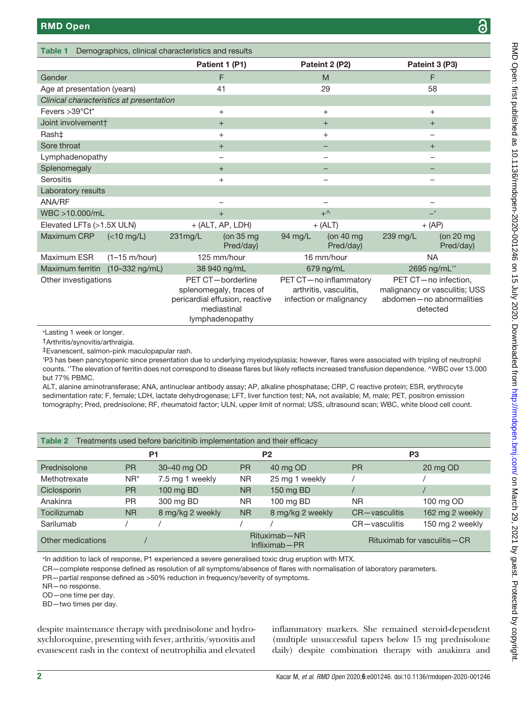Labo

Table 1 Demographics, clinical characteristics and results

|                                                                         |                         |                                                                                                                  | Patient 1 (P1)                   |                                                                             | Pateint 2 (P2)                   | Pateint 3 (P3)                                                                                |                          |
|-------------------------------------------------------------------------|-------------------------|------------------------------------------------------------------------------------------------------------------|----------------------------------|-----------------------------------------------------------------------------|----------------------------------|-----------------------------------------------------------------------------------------------|--------------------------|
| Gender                                                                  |                         | F                                                                                                                |                                  | M                                                                           |                                  | F                                                                                             |                          |
| Age at presentation (years)                                             |                         | 41                                                                                                               |                                  | 29                                                                          |                                  | 58                                                                                            |                          |
| Clinical characteristics at presentation                                |                         |                                                                                                                  |                                  |                                                                             |                                  |                                                                                               |                          |
| Fevers >39°Ct*                                                          |                         | $+$                                                                                                              |                                  | $+$                                                                         |                                  | $+$                                                                                           |                          |
| Joint involvement†                                                      |                         | $+$                                                                                                              |                                  | $+$                                                                         |                                  | $+$                                                                                           |                          |
| Rash‡                                                                   |                         | $+$                                                                                                              |                                  | $+$                                                                         |                                  |                                                                                               |                          |
| Sore throat                                                             |                         | $+$                                                                                                              |                                  |                                                                             |                                  | $+$                                                                                           |                          |
| Lymphadenopathy                                                         |                         | -                                                                                                                |                                  |                                                                             |                                  |                                                                                               |                          |
| Splenomegaly                                                            |                         | $+$                                                                                                              |                                  |                                                                             |                                  |                                                                                               |                          |
| <b>Serositis</b>                                                        |                         | $+$                                                                                                              |                                  |                                                                             |                                  |                                                                                               |                          |
| Laboratory results                                                      |                         |                                                                                                                  |                                  |                                                                             |                                  |                                                                                               |                          |
| ANA/RF                                                                  |                         |                                                                                                                  |                                  |                                                                             |                                  |                                                                                               |                          |
| WBC >10.000/mL                                                          |                         | $+$                                                                                                              |                                  | $+^{\wedge}$                                                                |                                  | - '                                                                                           |                          |
| Elevated LFTs (>1.5X ULN)                                               |                         | $+$ (ALT, AP, LDH)                                                                                               |                                  | $+$ (ALT)                                                                   |                                  | $+$ (AP)                                                                                      |                          |
| Maximum CRP                                                             | $(<10$ mg/L)            | 231mg/L                                                                                                          | (on $35 \text{ mg}$<br>Pred/day) | 94 mg/L                                                                     | (on $40 \text{ mg}$<br>Pred/day) | 239 mg/L                                                                                      | (on $20$ mg<br>Pred/day) |
| Maximum ESR                                                             | $(1-15 \text{ m/hour})$ |                                                                                                                  | 125 mm/hour                      |                                                                             | 16 mm/hour                       | <b>NA</b>                                                                                     |                          |
| Maximum ferritin (10-332 ng/mL)                                         |                         |                                                                                                                  | 38 940 ng/mL                     | 679 ng/mL<br>2695 ng/mL"                                                    |                                  |                                                                                               |                          |
| Other investigations                                                    |                         | PET CT-borderline<br>splenomegaly, traces of<br>pericardial effusion, reactive<br>mediastinal<br>lymphadenopathy |                                  | PET CT-no inflammatory<br>arthritis, vasculitis,<br>infection or malignancy |                                  | PET CT-no infection,<br>malignancy or vasculitis; USS<br>abdomen-no abnormalities<br>detected |                          |
| *Lasting 1 week or longer.<br>$\uparrow$ Arthritic/cunovitic/arthrolain |                         |                                                                                                                  |                                  |                                                                             |                                  |                                                                                               |                          |

†Arthritis/synovitis/arthralgia.

‡Evanescent, salmon-pink maculopapular rash.

'P3 has been pancytopenic since presentation due to underlying myelodysplasia; however, flares were associated with tripling of neutrophil counts. ''The elevation of ferritin does not correspond to disease flares but likely reflects increased transfusion dependence. ^WBC over 13.000 but 77% PBMC.

ALT, alanine aminotransferase; ANA, antinuclear antibody assay; AP, alkaline phosphatase; CRP, C reactive protein; ESR, erythrocyte sedimentation rate; F, female; LDH, lactate dehydrogenase; LFT, liver function test; NA, not available; M, male; PET, positron emission tomography; Pred, prednisolone; RF, rheumatoid factor; ULN, upper limit of normal; USS, ultrasound scan; WBC, white blood cell count.

| Table 2 Treatments used before baricitinib implementation and their efficacy |                |                  |           |                                   |                |                               |
|------------------------------------------------------------------------------|----------------|------------------|-----------|-----------------------------------|----------------|-------------------------------|
|                                                                              | P <sub>1</sub> |                  |           | P <sub>2</sub>                    | P <sub>3</sub> |                               |
| Prednisolone                                                                 | <b>PR</b>      | 30-40 mg OD      | <b>PR</b> | 40 mg OD                          | <b>PR</b>      | 20 mg OD                      |
| Methotrexate                                                                 | $NR^*$         | 7.5 mg 1 weekly  | <b>NR</b> | 25 mg 1 weekly                    |                |                               |
| Ciclosporin                                                                  | <b>PR</b>      | 100 mg BD        | <b>NR</b> | 150 mg BD                         |                |                               |
| Anakinra                                                                     | <b>PR</b>      | 300 mg BD        | <b>NR</b> | 100 mg BD                         | <b>NR</b>      | 100 mg OD                     |
| Tocilizumab                                                                  | <b>NR</b>      | 8 mg/kg 2 weekly | <b>NR</b> | 8 mg/kg 2 weekly                  | CR-vasculitis  | 162 mg 2 weekly               |
| Sarilumab                                                                    |                |                  |           |                                   | CR-vasculitis  | 150 mg 2 weekly               |
| Other medications                                                            |                |                  |           | Rituximab-NR<br>$Infliximab - PR$ |                | Rituximab for vasculitis – CR |

\*In addition to lack of response, P1 experienced a severe generalised toxic drug eruption with MTX.

CR—complete response defined as resolution of all symptoms/absence of flares with normalisation of laboratory parameters.

PR—partial response defined as >50% reduction in frequency/severity of symptoms.

NR—no response.

OD—one time per day.

BD—two times per day.

despite maintenance therapy with prednisolone and hydroxychloroquine, presenting with fever, arthritis/synovitis and evanescent rash in the context of neutrophilia and elevated

inflammatory markers. She remained steroid-dependent (multiple unsuccessful tapers below 15 mg prednisolone daily) despite combination therapy with anakinra and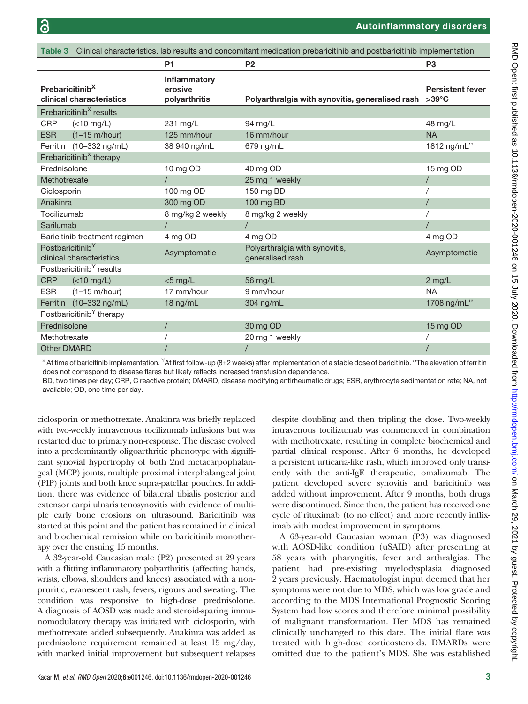| Table 3 Clinical characteristics, lab results and concomitant medication prebaricitinib and postbaricitinib implementation |                                      |                                          |                                                    |                                            |  |  |
|----------------------------------------------------------------------------------------------------------------------------|--------------------------------------|------------------------------------------|----------------------------------------------------|--------------------------------------------|--|--|
|                                                                                                                            |                                      | <b>P1</b>                                | <b>P2</b>                                          | P <sub>3</sub>                             |  |  |
| Prebaricitinib <sup>X</sup><br>clinical characteristics                                                                    |                                      | Inflammatory<br>erosive<br>polyarthritis | Polyarthralgia with synovitis, generalised rash    | <b>Persistent fever</b><br>$>39^{\circ}$ C |  |  |
| Prebaricitinib <sup>X</sup> results                                                                                        |                                      |                                          |                                                    |                                            |  |  |
| <b>CRP</b>                                                                                                                 | $(<10$ mg/L)                         | 231 mg/L                                 | 94 mg/L                                            | 48 mg/L                                    |  |  |
| <b>ESR</b>                                                                                                                 | $(1-15 \text{ m/hour})$              | 125 mm/hour                              | 16 mm/hour                                         | <b>NA</b>                                  |  |  |
|                                                                                                                            | Ferritin (10-332 ng/mL)              | 38 940 ng/mL                             | 679 ng/mL                                          | 1812 ng/mL"                                |  |  |
|                                                                                                                            | Prebaricitinib <sup>X</sup> therapy  |                                          |                                                    |                                            |  |  |
| Prednisolone                                                                                                               |                                      | 10 mg OD                                 | 40 mg OD                                           | 15 mg OD                                   |  |  |
| Methotrexate                                                                                                               |                                      |                                          | 25 mg 1 weekly                                     |                                            |  |  |
| Ciclosporin                                                                                                                |                                      | 100 mg OD                                | 150 mg BD                                          |                                            |  |  |
| Anakinra                                                                                                                   |                                      | 300 mg OD                                | 100 mg BD                                          | $\sqrt{2}$                                 |  |  |
| Tocilizumab                                                                                                                |                                      | 8 mg/kg 2 weekly                         | 8 mg/kg 2 weekly                                   |                                            |  |  |
| Sarilumab                                                                                                                  |                                      |                                          | $\prime$                                           |                                            |  |  |
| Baricitinib treatment regimen                                                                                              |                                      | 4 mg OD                                  | 4 mg OD                                            | 4 mg OD                                    |  |  |
| Postbaricitinib <sup>Y</sup><br>clinical characteristics                                                                   |                                      | Asymptomatic                             | Polyarthralgia with synovitis,<br>generalised rash | Asymptomatic                               |  |  |
|                                                                                                                            | Postbaricitinib <sup>Y</sup> results |                                          |                                                    |                                            |  |  |
| <b>CRP</b>                                                                                                                 | $(<10$ mg/L)                         | $<$ 5 mg/L                               | 56 mg/L                                            | $2$ mg/L                                   |  |  |
| <b>ESR</b>                                                                                                                 | $(1-15 \text{ m/hour})$              | 17 mm/hour                               | 9 mm/hour                                          | <b>NA</b>                                  |  |  |
|                                                                                                                            | Ferritin (10-332 ng/mL)              | 18 ng/mL                                 | 304 ng/mL                                          | 1708 ng/mL"                                |  |  |
| Postbaricitinib <sup>Y</sup> therapy                                                                                       |                                      |                                          |                                                    |                                            |  |  |
| Prednisolone                                                                                                               |                                      |                                          | 30 mg OD                                           | 15 mg OD                                   |  |  |
| Methotrexate                                                                                                               |                                      |                                          | 20 mg 1 weekly                                     |                                            |  |  |
| <b>Other DMARD</b>                                                                                                         |                                      |                                          | $\overline{1}$                                     |                                            |  |  |

 $^\times$  At time of baricitinib implementation.  $^\times$ At first follow-up (8±2 weeks) after implementation of a stable dose of baricitinib. ''The elevation of ferritin does not correspond to disease flares but likely reflects increased transfusion dependence.

BD, two times per day; CRP, C reactive protein; DMARD, disease modifying antirheumatic drugs; ESR, erythrocyte sedimentation rate; NA, not available; OD, one time per day.

ciclosporin or methotrexate. Anakinra was briefly replaced with two-weekly intravenous tocilizumab infusions but was restarted due to primary non-response. The disease evolved into a predominantly oligoarthritic phenotype with significant synovial hypertrophy of both 2nd metacarpophalangeal (MCP) joints, multiple proximal interphalangeal joint (PIP) joints and both knee supra-patellar pouches. In addition, there was evidence of bilateral tibialis posterior and extensor carpi ulnaris tenosynovitis with evidence of multiple early bone erosions on ultrasound. Baricitinib was started at this point and the patient has remained in clinical and biochemical remission while on baricitinib monotherapy over the ensuing 15 months.

A 32-year-old Caucasian male (P2) presented at 29 years with a flitting inflammatory polyarthritis (affecting hands, wrists, elbows, shoulders and knees) associated with a nonpruritic, evanescent rash, fevers, rigours and sweating. The condition was responsive to high-dose prednisolone. A diagnosis of AOSD was made and steroid-sparing immunomodulatory therapy was initiated with ciclosporin, with methotrexate added subsequently. Anakinra was added as prednisolone requirement remained at least 15 mg/day, with marked initial improvement but subsequent relapses

despite doubling and then tripling the dose. Two-weekly intravenous tocilizumab was commenced in combination with methotrexate, resulting in complete biochemical and partial clinical response. After 6 months, he developed a persistent urticaria-like rash, which improved only transiently with the anti-IgE therapeutic, omalizumab. The patient developed severe synovitis and baricitinib was added without improvement. After 9 months, both drugs were discontinued. Since then, the patient has received one cycle of rituximab (to no effect) and more recently infliximab with modest improvement in symptoms.

A 63-year-old Caucasian woman (P3) was diagnosed with AOSD-like condition (uSAID) after presenting at 58 years with pharyngitis, fever and arthralgias. The patient had pre-existing myelodysplasia diagnosed 2 years previously. Haematologist input deemed that her symptoms were not due to MDS, which was low grade and according to the MDS International Prognostic Scoring System had low scores and therefore minimal possibility of malignant transformation. Her MDS has remained clinically unchanged to this date. The initial flare was treated with high-dose corticosteroids. DMARDs were omitted due to the patient's MDS. She was established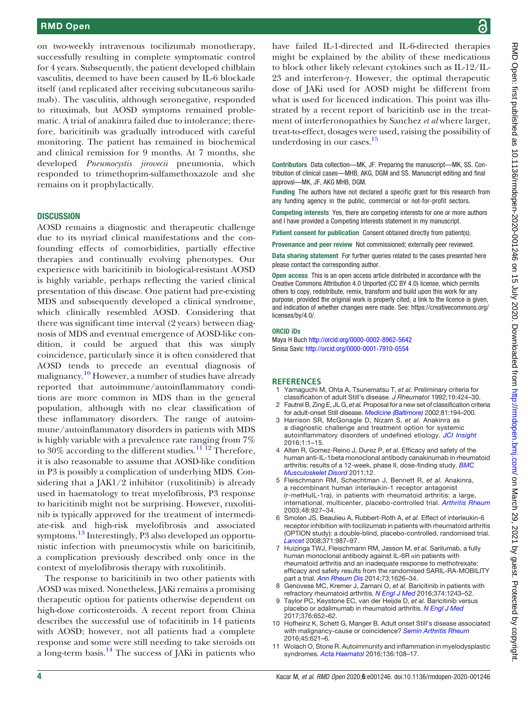### RMD Open

on two-weekly intravenous tocilizumab monotherapy, successfully resulting in complete symptomatic control for 4 years. Subsequently, the patient developed chilblain vasculitis, deemed to have been caused by IL-6 blockade itself (and replicated after receiving subcutaneous sarilumab). The vasculitis, although seronegative, responded to rituximab, but AOSD symptoms remained problematic. A trial of anakinra failed due to intolerance; therefore, baricitinib was gradually introduced with careful monitoring. The patient has remained in biochemical and clinical remission for 9 months. At 7 months, she developed Pneumocystis jirovecii pneumonia, which responded to trimethoprim-sulfamethoxazole and she remains on it prophylactically.

#### **DISCUSSION**

AOSD remains a diagnostic and therapeutic challenge due to its myriad clinical manifestations and the confounding effects of comorbidities, partially effective therapies and continually evolving phenotypes. Our experience with baricitinib in biological-resistant AOSD is highly variable, perhaps reflecting the varied clinical presentation of this disease. One patient had pre-existing MDS and subsequently developed a clinical syndrome, which clinically resembled AOSD. Considering that there was significant time interval (2 years) between diagnosis of MDS and eventual emergence of AOSD-like condition, it could be argued that this was simply coincidence, particularly since it is often considered that AOSD tends to precede an eventual diagnosis of malignancy.<sup>10</sup> However, a number of studies have already reported that autoimmune/autoinflammatory conditions are more common in MDS than in the general population, although with no clear classification of these inflammatory disorders. The range of autoimmune/autoinflammatory disorders in patients with MDS is highly variable with a prevalence rate ranging from 7% to 30% according to the different studies.<sup>11 12</sup> Therefore, it is also reasonable to assume that AOSD-like condition in P3 is possibly a complication of underlying MDS. Considering that a JAK1/2 inhibitor (ruxolitinib) is already used in haematology to treat myelofibrosis, P3 response to baricitinib might not be surprising. However, ruxolitinib is typically approved for the treatment of intermediate-risk and high-risk myelofibrosis and associated symptoms.<sup>13</sup> Interestingly, P3 also developed an opportunistic infection with pneumocystis while on baricitinib, a complication previously described only once in the context of myelofibrosis therapy with ruxolitinib.

The response to baricitinib in two other patients with AOSD was mixed. Nonetheless, JAKi remains a promising therapeutic option for patients otherwise dependent on high-dose corticosteroids. A recent report from China describes the successful use of tofacitinib in 14 patients with AOSD; however, not all patients had a complete response and some were still needing to take steroids on a long-term basis.<sup>14</sup> The success of JAKi in patients who

have failed IL-1-directed and IL-6-directed therapies might be explained by the ability of these medications to block other likely relevant cytokines such as IL-12/IL-23 and interferon-γ. However, the optimal therapeutic dose of JAKi used for AOSD might be different from what is used for licenced indication. This point was illustrated by a recent report of baricitinb use in the treatment of interferonopathies by Sanchez et al where larger, treat-to-effect, dosages were used, raising the possibility of underdosing in our cases.<sup>15</sup>

Contributors Data collection—MK, JF. Preparing the manuscript—MK, SS. Contribution of clinical cases—MHB, AKG, DGM and SS. Manuscript editing and final approval—MK, JF, AKG MHB, DGM.

Funding The authors have not declared a specific grant for this research from any funding agency in the public, commercial or not-for-profit sectors.

Competing interests Yes, there are competing interests for one or more authors and I have provided a Competing Interests statement in my manuscript.

Patient consent for publication Consent obtained directly from patient(s).

Provenance and peer review Not commissioned; externally peer reviewed.

Data sharing statement For further queries related to the cases presented here please contact the corresponding author.

Open access This is an open access article distributed in accordance with the Creative Commons Attribution 4.0 Unported (CC BY 4.0) license, which permits others to copy, redistribute, remix, transform and build upon this work for any purpose, provided the original work is properly cited, a link to the licence is given, and indication of whether changes were made. See: https://creativecommons.org/ licenses/by/4.0/.

#### ORCID iDs

Maya H Buch http://orcid.org/0000-0002-8962-5642 Sinisa Savic http://orcid.org/0000-0001-7910-0554

#### **REFERENCES**

- Yamaguchi M, Ohta A, Tsunematsu T, et al. Preliminary criteria for classification of adult Still's disease. J Rheumatol 1992;19:424–30.
- 2 Fautrel B, Zing E, JL G, et al. Proposal for a new set of classification criteria for adult-onset Still disease. Medicine (Baltimore) 2002;81:194–200.
- 3 Harrison SR, McGonagle D, Nizam S, et al. Anakinra as a diagnostic challenge and treatment option for systemic autoinflammatory disorders of undefined etiology. JCI Insight 2016;1:1–15.
- 4 Alten R, Gomez-Reino J, Durez P, et al. Efficacy and safety of the human anti-IL-1beta monoclonal antibody canakinumab in rheumatoid arthritis: results of a 12-week, phase II, dose-finding study. **BMC** Musculoskelet Disord 2011;12.
- 5 Fleischmann RM, Schechtman J, Bennett R, et al. Anakinra, a recombinant human interleukin-1 receptor antagonist (r-metHuIL-1ra), in patients with rheumatoid arthritis: a large, international, multicenter, placebo-controlled trial. Arthritis Rheum 2003;48:927–34.
- 6 Smolen JS, Beaulieu A, Rubbert-Roth A, et al. Effect of interleukin-6 receptor inhibition with tocilizumab in patients with rheumatoid arthritis (OPTION study): a double-blind, placebo-controlled, randomised trial. Lancet 2008;371:987–97.
- 7 Huizinga TWJ, Fleischmann RM, Jasson M, et al. Sarilumab, a fully human monoclonal antibody against IL-6R αin patients with rheumatoid arthritis and an inadequate response to methotrexate: efficacy and safety results from the randomised SARIL-RA-MOBILITY part a trial. Ann Rheum Dis 2014;73:1626–34.
- 8 Genovese MC, Kremer J, Zamani O, et al. Baricitinib in patients with refractory rheumatoid arthritis. N Engl J Med 2016;374:1243-52.
- 9 Taylor PC, Keystone EC, van der Heijde D, et al. Baricitinib versus placebo or adalimumab in rheumatoid arthritis. N Engl J Med 2017;376:652–62.
- 10 Hofheinz K, Schett G, Manger B. Adult onset Still's disease associated with malignancy-cause or coincidence? Semin Arthritis Rheum 2016;45:621–6.
- 11 Wolach O, Stone R. Autoimmunity and inflammation in myelodysplastic syndromes. Acta Haematol 2016;136:108–17.